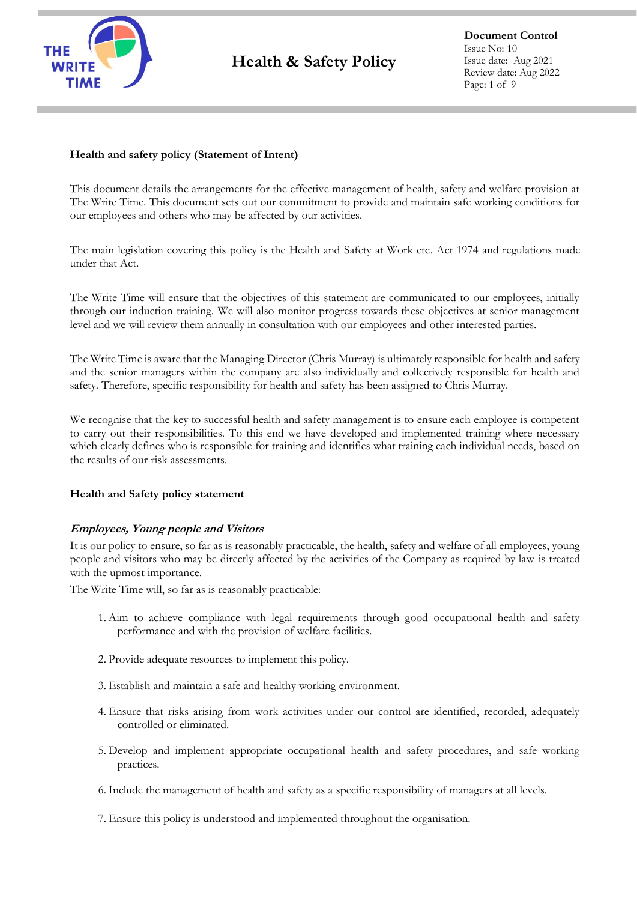

# **Health and safety policy (Statement of Intent)**

This document details the arrangements for the effective management of health, safety and welfare provision at The Write Time. This document sets out our commitment to provide and maintain safe working conditions for our employees and others who may be affected by our activities.

The main legislation covering this policy is the Health and Safety at Work etc. Act 1974 and regulations made under that Act.

The Write Time will ensure that the objectives of this statement are communicated to our employees, initially through our induction training. We will also monitor progress towards these objectives at senior management level and we will review them annually in consultation with our employees and other interested parties.

The Write Time is aware that the Managing Director (Chris Murray) is ultimately responsible for health and safety and the senior managers within the company are also individually and collectively responsible for health and safety. Therefore, specific responsibility for health and safety has been assigned to Chris Murray.

We recognise that the key to successful health and safety management is to ensure each employee is competent to carry out their responsibilities. To this end we have developed and implemented training where necessary which clearly defines who is responsible for training and identifies what training each individual needs, based on the results of our risk assessments.

#### **Health and Safety policy statement**

#### **Employees, Young people and Visitors**

It is our policy to ensure, so far as is reasonably practicable, the health, safety and welfare of all employees, young people and visitors who may be directly affected by the activities of the Company as required by law is treated with the upmost importance.

The Write Time will, so far as is reasonably practicable:

- 1. Aim to achieve compliance with legal requirements through good occupational health and safety performance and with the provision of welfare facilities.
- 2. Provide adequate resources to implement this policy.
- 3. Establish and maintain a safe and healthy working environment.
- 4. Ensure that risks arising from work activities under our control are identified, recorded, adequately controlled or eliminated.
- 5. Develop and implement appropriate occupational health and safety procedures, and safe working practices.
- 6. Include the management of health and safety as a specific responsibility of managers at all levels.
- 7. Ensure this policy is understood and implemented throughout the organisation.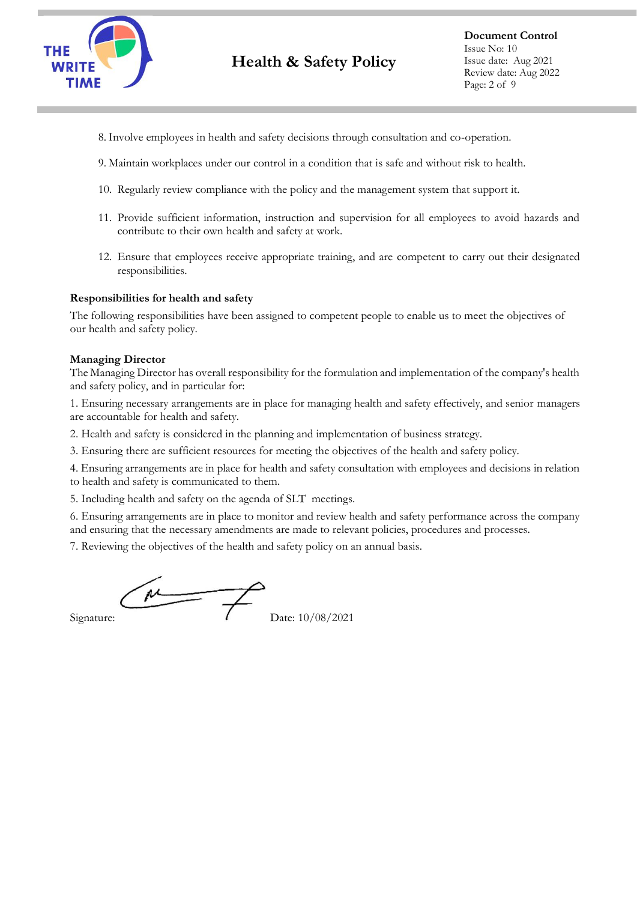

- 8. Involve employees in health and safety decisions through consultation and co-operation.
- 9. Maintain workplaces under our control in a condition that is safe and without risk to health.
- 10. Regularly review compliance with the policy and the management system that support it.
- 11. Provide sufficient information, instruction and supervision for all employees to avoid hazards and contribute to their own health and safety at work.
- 12. Ensure that employees receive appropriate training, and are competent to carry out their designated responsibilities.

#### **Responsibilities for health and safety**

The following responsibilities have been assigned to competent people to enable us to meet the objectives of our health and safety policy.

#### **Managing Director**

The Managing Director has overall responsibility for the formulation and implementation of the company's health and safety policy, and in particular for:

1. Ensuring necessary arrangements are in place for managing health and safety effectively, and senior managers are accountable for health and safety.

2. Health and safety is considered in the planning and implementation of business strategy.

3. Ensuring there are sufficient resources for meeting the objectives of the health and safety policy.

4. Ensuring arrangements are in place for health and safety consultation with employees and decisions in relation to health and safety is communicated to them.

5. Including health and safety on the agenda of SLT meetings.

6. Ensuring arrangements are in place to monitor and review health and safety performance across the company and ensuring that the necessary amendments are made to relevant policies, procedures and processes.

7. Reviewing the objectives of the health and safety policy on an annual basis.

 $\mu$ Signature:  $\sqrt{\frac{1}{202}}$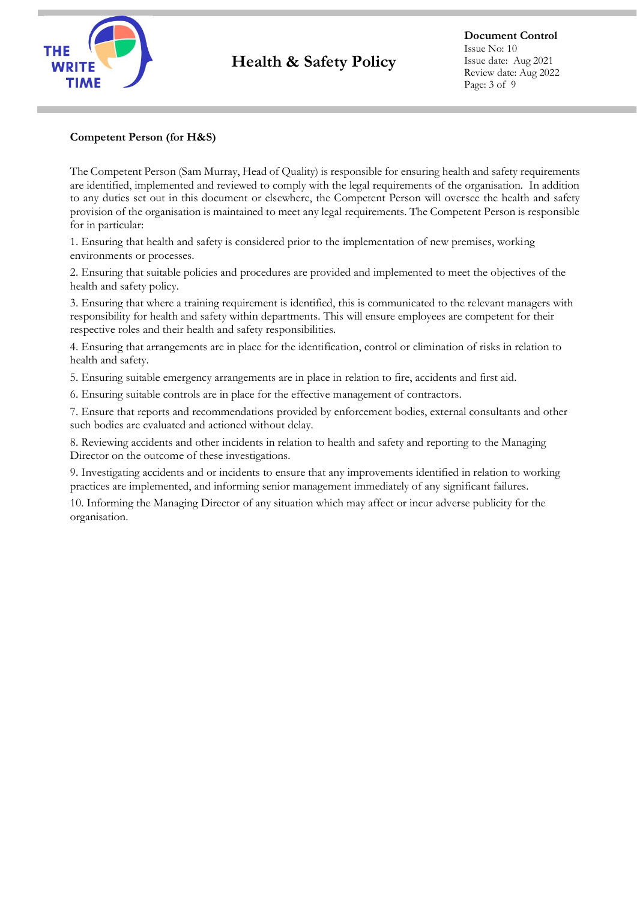

### **Competent Person (for H&S)**

The Competent Person (Sam Murray, Head of Quality) is responsible for ensuring health and safety requirements are identified, implemented and reviewed to comply with the legal requirements of the organisation. In addition to any duties set out in this document or elsewhere, the Competent Person will oversee the health and safety provision of the organisation is maintained to meet any legal requirements. The Competent Person is responsible for in particular:

1. Ensuring that health and safety is considered prior to the implementation of new premises, working environments or processes.

2. Ensuring that suitable policies and procedures are provided and implemented to meet the objectives of the health and safety policy.

3. Ensuring that where a training requirement is identified, this is communicated to the relevant managers with responsibility for health and safety within departments. This will ensure employees are competent for their respective roles and their health and safety responsibilities.

4. Ensuring that arrangements are in place for the identification, control or elimination of risks in relation to health and safety.

5. Ensuring suitable emergency arrangements are in place in relation to fire, accidents and first aid.

6. Ensuring suitable controls are in place for the effective management of contractors.

7. Ensure that reports and recommendations provided by enforcement bodies, external consultants and other such bodies are evaluated and actioned without delay.

8. Reviewing accidents and other incidents in relation to health and safety and reporting to the Managing Director on the outcome of these investigations.

9. Investigating accidents and or incidents to ensure that any improvements identified in relation to working practices are implemented, and informing senior management immediately of any significant failures.

10. Informing the Managing Director of any situation which may affect or incur adverse publicity for the organisation.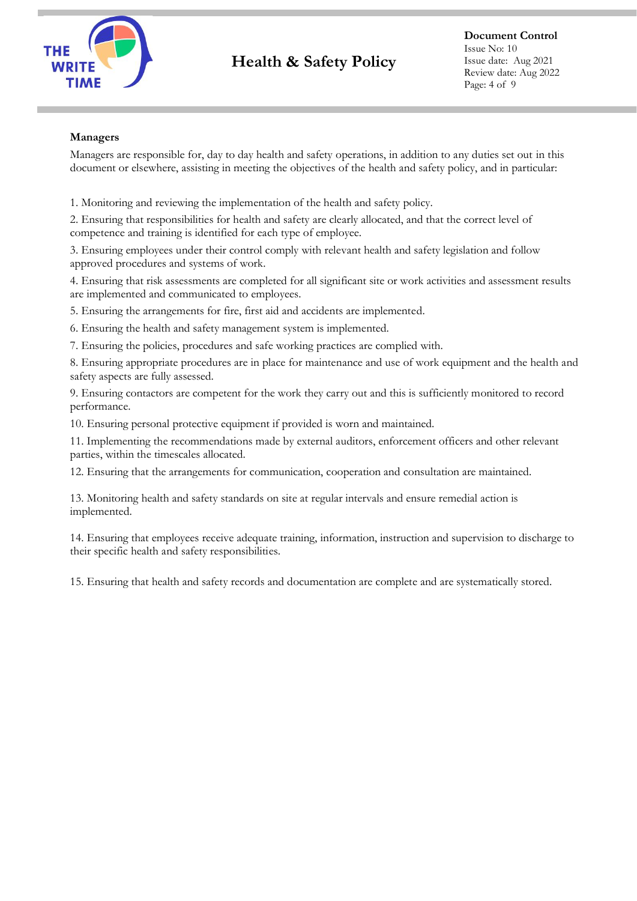

# **Health & Safety Policy**

### **Managers**

Managers are responsible for, day to day health and safety operations, in addition to any duties set out in this document or elsewhere, assisting in meeting the objectives of the health and safety policy, and in particular:

1. Monitoring and reviewing the implementation of the health and safety policy.

2. Ensuring that responsibilities for health and safety are clearly allocated, and that the correct level of competence and training is identified for each type of employee.

3. Ensuring employees under their control comply with relevant health and safety legislation and follow approved procedures and systems of work.

4. Ensuring that risk assessments are completed for all significant site or work activities and assessment results are implemented and communicated to employees.

5. Ensuring the arrangements for fire, first aid and accidents are implemented.

6. Ensuring the health and safety management system is implemented.

7. Ensuring the policies, procedures and safe working practices are complied with.

8. Ensuring appropriate procedures are in place for maintenance and use of work equipment and the health and safety aspects are fully assessed.

9. Ensuring contactors are competent for the work they carry out and this is sufficiently monitored to record performance.

10. Ensuring personal protective equipment if provided is worn and maintained.

11. Implementing the recommendations made by external auditors, enforcement officers and other relevant parties, within the timescales allocated.

12. Ensuring that the arrangements for communication, cooperation and consultation are maintained.

13. Monitoring health and safety standards on site at regular intervals and ensure remedial action is implemented.

14. Ensuring that employees receive adequate training, information, instruction and supervision to discharge to their specific health and safety responsibilities.

15. Ensuring that health and safety records and documentation are complete and are systematically stored.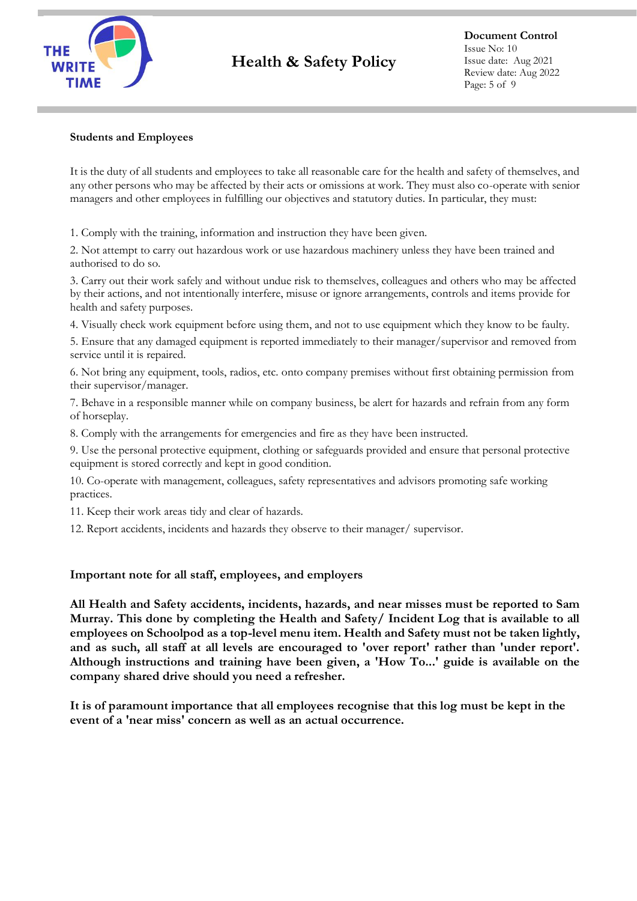

# **Health & Safety Policy**

**Document Control** Issue No: 10 Issue date: Aug 2021 Review date: Aug 2022 Page: 5 of 9

#### **Students and Employees**

It is the duty of all students and employees to take all reasonable care for the health and safety of themselves, and any other persons who may be affected by their acts or omissions at work. They must also co-operate with senior managers and other employees in fulfilling our objectives and statutory duties. In particular, they must:

1. Comply with the training, information and instruction they have been given.

2. Not attempt to carry out hazardous work or use hazardous machinery unless they have been trained and authorised to do so.

3. Carry out their work safely and without undue risk to themselves, colleagues and others who may be affected by their actions, and not intentionally interfere, misuse or ignore arrangements, controls and items provide for health and safety purposes.

4. Visually check work equipment before using them, and not to use equipment which they know to be faulty.

5. Ensure that any damaged equipment is reported immediately to their manager/supervisor and removed from service until it is repaired.

6. Not bring any equipment, tools, radios, etc. onto company premises without first obtaining permission from their supervisor/manager.

7. Behave in a responsible manner while on company business, be alert for hazards and refrain from any form of horseplay.

8. Comply with the arrangements for emergencies and fire as they have been instructed.

9. Use the personal protective equipment, clothing or safeguards provided and ensure that personal protective equipment is stored correctly and kept in good condition.

10. Co-operate with management, colleagues, safety representatives and advisors promoting safe working practices.

- 11. Keep their work areas tidy and clear of hazards.
- 12. Report accidents, incidents and hazards they observe to their manager/ supervisor.

#### **Important note for all staff, employees, and employers**

**All Health and Safety accidents, incidents, hazards, and near misses must be reported to Sam Murray. This done by completing the Health and Safety/ Incident Log that is available to all employees on Schoolpod as a top-level menu item. Health and Safety must not be taken lightly, and as such, all staff at all levels are encouraged to 'over report' rather than 'under report'. Although instructions and training have been given, a 'How To...' guide is available on the company shared drive should you need a refresher.** 

**It is of paramount importance that all employees recognise that this log must be kept in the event of a 'near miss' concern as well as an actual occurrence.**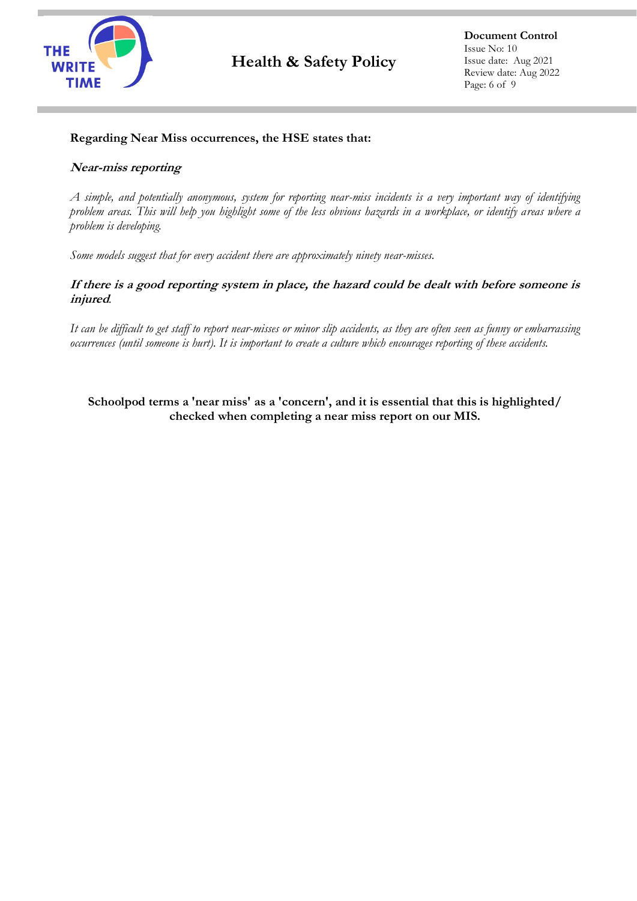

# **Regarding Near Miss occurrences, the HSE states that:**

# **Near-miss reporting**

*A simple, and potentially anonymous, system for reporting near-miss incidents is a very important way of identifying problem areas. This will help you highlight some of the less obvious hazards in a workplace, or identify areas where a problem is developing.*

*Some models suggest that for every accident there are approximately ninety near-misses.*

# **If there is a good reporting system in place, the hazard could be dealt with before someone is injured***.*

*It can be difficult to get staff to report near-misses or minor slip accidents, as they are often seen as funny or embarrassing occurrences (until someone is hurt). It is important to create a culture which encourages reporting of these accidents.*

**Schoolpod terms a 'near miss' as a 'concern', and it is essential that this is highlighted/ checked when completing a near miss report on our MIS.**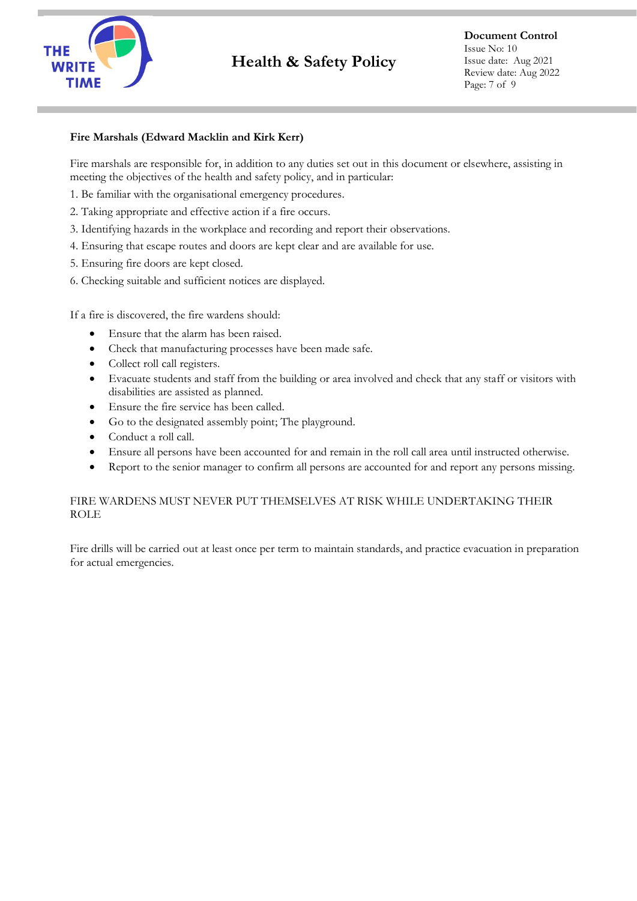

# **Fire Marshals (Edward Macklin and Kirk Kerr)**

Fire marshals are responsible for, in addition to any duties set out in this document or elsewhere, assisting in meeting the objectives of the health and safety policy, and in particular:

- 1. Be familiar with the organisational emergency procedures.
- 2. Taking appropriate and effective action if a fire occurs.
- 3. Identifying hazards in the workplace and recording and report their observations.
- 4. Ensuring that escape routes and doors are kept clear and are available for use.
- 5. Ensuring fire doors are kept closed.
- 6. Checking suitable and sufficient notices are displayed.

If a fire is discovered, the fire wardens should:

- Ensure that the alarm has been raised.
- Check that manufacturing processes have been made safe.
- Collect roll call registers.
- Evacuate students and staff from the building or area involved and check that any staff or visitors with disabilities are assisted as planned.
- Ensure the fire service has been called.
- Go to the designated assembly point; The playground.
- Conduct a roll call.
- Ensure all persons have been accounted for and remain in the roll call area until instructed otherwise.
- Report to the senior manager to confirm all persons are accounted for and report any persons missing.

# FIRE WARDENS MUST NEVER PUT THEMSELVES AT RISK WHILE UNDERTAKING THEIR ROLE

Fire drills will be carried out at least once per term to maintain standards, and practice evacuation in preparation for actual emergencies.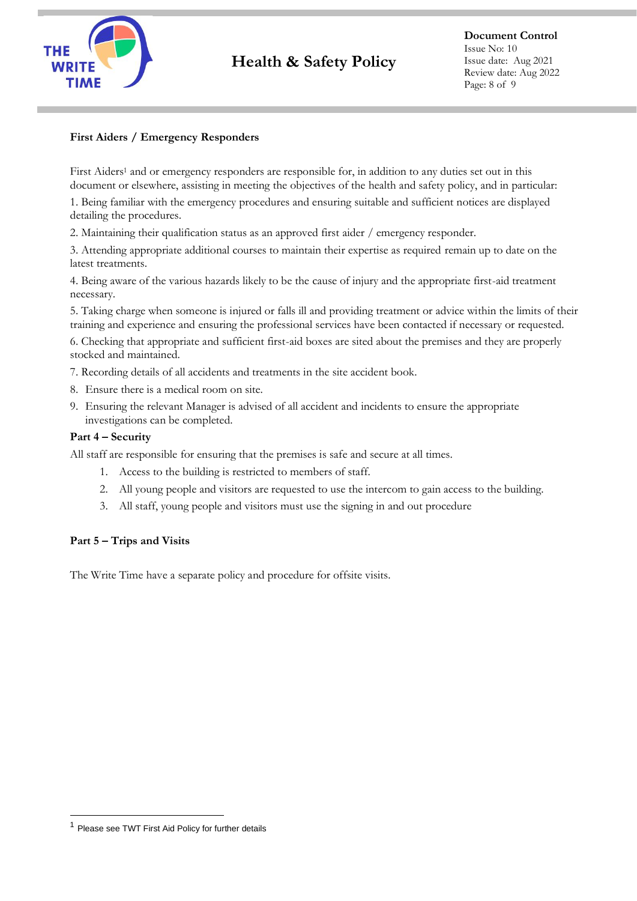

# **First Aiders / Emergency Responders**

First Aiders<sup>1</sup> and or emergency responders are responsible for, in addition to any duties set out in this document or elsewhere, assisting in meeting the objectives of the health and safety policy, and in particular:

1. Being familiar with the emergency procedures and ensuring suitable and sufficient notices are displayed detailing the procedures.

2. Maintaining their qualification status as an approved first aider / emergency responder.

3. Attending appropriate additional courses to maintain their expertise as required remain up to date on the latest treatments.

4. Being aware of the various hazards likely to be the cause of injury and the appropriate first-aid treatment necessary.

5. Taking charge when someone is injured or falls ill and providing treatment or advice within the limits of their training and experience and ensuring the professional services have been contacted if necessary or requested.

6. Checking that appropriate and sufficient first-aid boxes are sited about the premises and they are properly stocked and maintained.

7. Recording details of all accidents and treatments in the site accident book.

- 8. Ensure there is a medical room on site.
- 9. Ensuring the relevant Manager is advised of all accident and incidents to ensure the appropriate investigations can be completed.

#### **Part 4 – Security**

All staff are responsible for ensuring that the premises is safe and secure at all times.

- 1. Access to the building is restricted to members of staff.
- 2. All young people and visitors are requested to use the intercom to gain access to the building.
- 3. All staff, young people and visitors must use the signing in and out procedure

#### **Part 5 – Trips and Visits**

The Write Time have a separate policy and procedure for offsite visits.

<sup>1</sup> Please see TWT First Aid Policy for further details